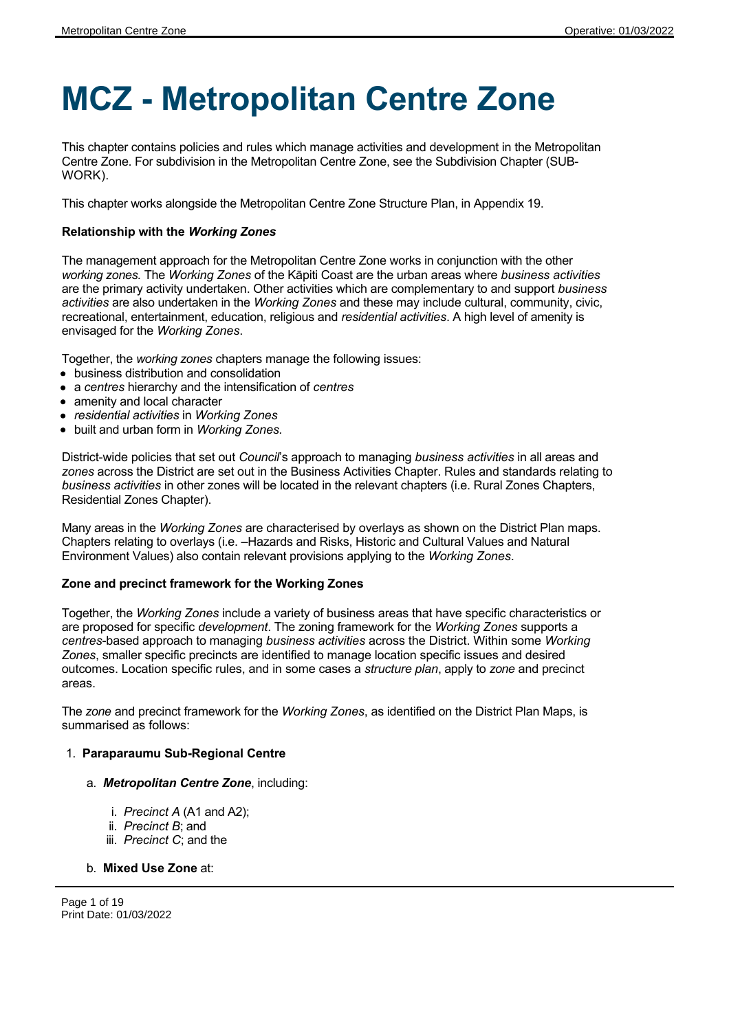# **MCZ - Metropolitan Centre Zone**

This chapter contains policies and rules which manage activities and development in the Metropolitan Centre Zone. For subdivision in the Metropolitan Centre Zone, see the Subdivision Chapter (SUB-WORK).

This chapter works alongside the Metropolitan Centre Zone Structure Plan, in Appendix 19.

# **Relationship with the** *Working Zones*

The management approach for the Metropolitan Centre Zone works in conjunction with the other *working zones.* The *Working Zones* of the Kāpiti Coast are the urban areas where *business activities* are the primary activity undertaken. Other activities which are complementary to and support *business activities* are also undertaken in the *Working Zones* and these may include cultural, community, civic, recreational, entertainment, education, religious and *residential activities*. A high level of amenity is envisaged for the *Working Zones*.

Together, the *working zones* chapters manage the following issues:

- business distribution and consolidation
- a *centres* hierarchy and the intensification of *centres*
- amenity and local character
- *residential activities* in *Working Zones*
- built and urban form in *Working Zones.*

District-wide policies that set out *Council*'s approach to managing *business activities* in all areas and *zones* across the District are set out in the Business Activities Chapter. Rules and standards relating to *business activities* in other zones will be located in the relevant chapters (i.e. Rural Zones Chapters, Residential Zones Chapter).

Many areas in the *Working Zones* are characterised by overlays as shown on the District Plan maps. Chapters relating to overlays (i.e. –Hazards and Risks, Historic and Cultural Values and Natural Environment Values) also contain relevant provisions applying to the *Working Zones*.

# **Zone and precinct framework for the Working Zones**

Together, the *Working Zones* include a variety of business areas that have specific characteristics or are proposed for specific *development*. The zoning framework for the *Working Zones* supports a *centres*-based approach to managing *business activities* across the District. Within some *Working Zones*, smaller specific precincts are identified to manage location specific issues and desired outcomes. Location specific rules, and in some cases a *structure plan*, apply to *zone* and precinct areas.

The *zone* and precinct framework for the *Working Zones*, as identified on the District Plan Maps, is summarised as follows:

#### 1. **Paraparaumu Sub-Regional Centre**

#### a. *Metropolitan Centre Zone*, including:

- i. *Precinct A* (A1 and A2);
- ii. *Precinct B*; and
- iii. *Precinct C*; and the

# b. **Mixed Use Zone** at:

Page 1 of 19 Print Date: 01/03/2022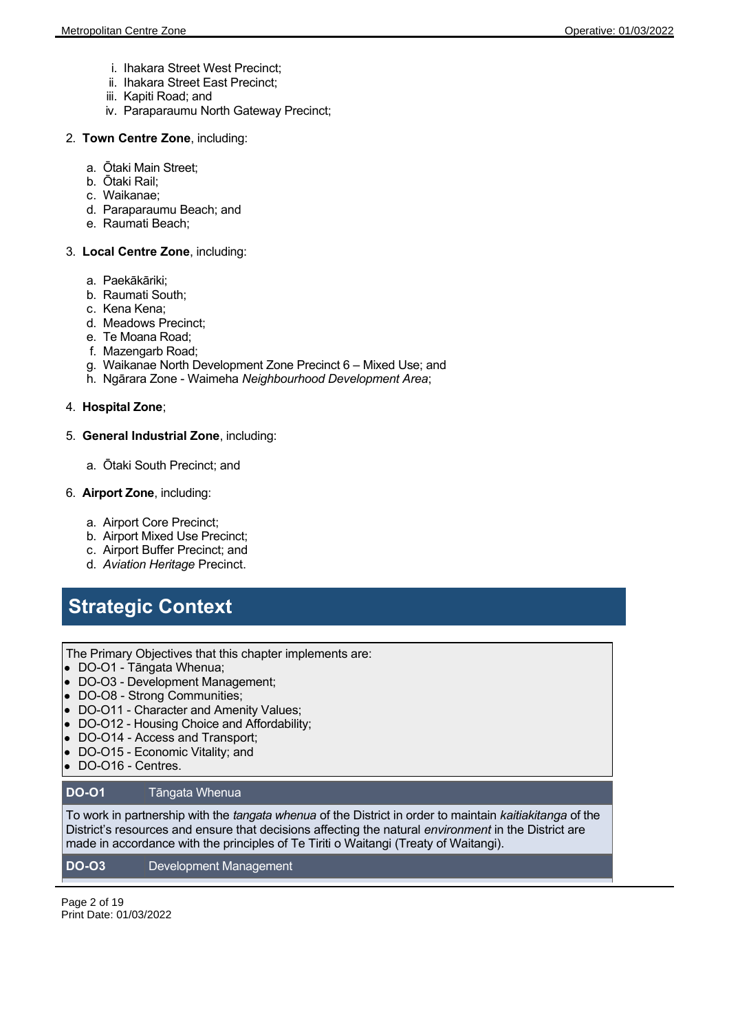- i. Ihakara Street West Precinct;
- ii. Ihakara Street East Precinct;
- iii. Kapiti Road; and
- iv. Paraparaumu North Gateway Precinct;
- 2. **Town Centre Zone**, including:
	- a. Ōtaki Main Street;
	- b. Ōtaki Rail;
	- c. Waikanae;
	- d. Paraparaumu Beach; and
	- e. Raumati Beach;

### 3. **Local Centre Zone**, including:

- a. Paekākāriki;
- b. Raumati South;
- c. Kena Kena;
- d. Meadows Precinct;
- e. Te Moana Road;
- f. Mazengarb Road;
- g. Waikanae North Development Zone Precinct 6 Mixed Use; and
- h. Ngārara Zone Waimeha *Neighbourhood Development Area*;

### 4. **Hospital Zone**;

### 5. **General Industrial Zone**, including:

a. Ōtaki South Precinct; and

### 6. **Airport Zone**, including:

- a. Airport Core Precinct;
- b. Airport Mixed Use Precinct;
- c. Airport Buffer Precinct; and
- d. *Aviation Heritage* Precinct.

# **Strategic Context**

The Primary Objectives that this chapter implements are:

- DO-O1 Tāngata Whenua;
- DO-O3 Development Management;
- DO-O8 Strong Communities;
- DO-O11 Character and Amenity Values;
- DO-O12 Housing Choice and Affordability;
- DO-O14 Access and Transport;
- DO-O15 Economic Vitality; and
- DO-O16 Centres.

# **DO-O1** Tāngata Whenua

To work in partnership with the *tangata whenua* of the District in order to maintain *kaitiakitanga* of the District's resources and ensure that decisions affecting the natural *environment* in the District are made in accordance with the principles of Te Tiriti o Waitangi (Treaty of Waitangi).

# **DO-O3** Development Management

Page 2 of 19 Print Date: 01/03/2022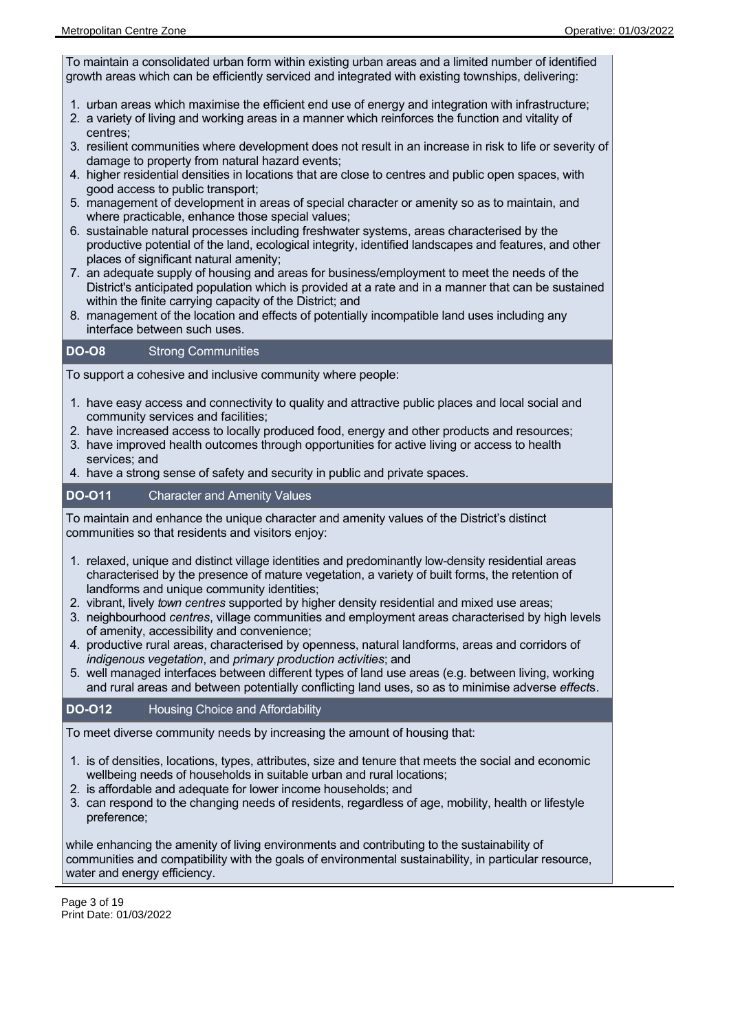To maintain a consolidated urban form within existing urban areas and a limited number of identified growth areas which can be efficiently serviced and integrated with existing townships, delivering:

- 1. urban areas which maximise the efficient end use of energy and integration with infrastructure;
- 2. a variety of living and working areas in a manner which reinforces the function and vitality of centres;
- 3. resilient communities where development does not result in an increase in risk to life or severity of damage to property from natural hazard events;
- 4. higher residential densities in locations that are close to centres and public open spaces, with good access to public transport;
- 5. management of development in areas of special character or amenity so as to maintain, and where practicable, enhance those special values;
- 6. sustainable natural processes including freshwater systems, areas characterised by the productive potential of the land, ecological integrity, identified landscapes and features, and other places of significant natural amenity;
- 7. an adequate supply of housing and areas for business/employment to meet the needs of the District's anticipated population which is provided at a rate and in a manner that can be sustained within the finite carrying capacity of the District; and
- 8. management of the location and effects of potentially incompatible land uses including any interface between such uses.

### **DO-O8** Strong Communities

To support a cohesive and inclusive community where people:

- 1. have easy access and connectivity to quality and attractive public places and local social and community services and facilities;
- 2. have increased access to locally produced food, energy and other products and resources;
- 3. have improved health outcomes through opportunities for active living or access to health services; and
- 4. have a strong sense of safety and security in public and private spaces.

# **DO-O11** Character and Amenity Values

To maintain and enhance the unique character and amenity values of the District's distinct communities so that residents and visitors enjoy:

- 1. relaxed, unique and distinct village identities and predominantly low-density residential areas characterised by the presence of mature vegetation, a variety of built forms, the retention of landforms and unique community identities;
- 2. vibrant, lively *town centres* supported by higher density residential and mixed use areas;
- 3. neighbourhood *centres*, village communities and employment areas characterised by high levels of amenity, accessibility and convenience;
- 4. productive rural areas, characterised by openness, natural landforms, areas and corridors of *indigenous vegetation*, and *primary production activities*; and
- 5. well managed interfaces between different types of land use areas (e.g. between living, working and rural areas and between potentially conflicting land uses, so as to minimise adverse *effect*s.

# **DO-O12** Housing Choice and Affordability

To meet diverse community needs by increasing the amount of housing that:

- 1. is of densities, locations, types, attributes, size and tenure that meets the social and economic wellbeing needs of households in suitable urban and rural locations;
- 2. is affordable and adequate for lower income households; and
- 3. can respond to the changing needs of residents, regardless of age, mobility, health or lifestyle preference;

while enhancing the amenity of living environments and contributing to the sustainability of communities and compatibility with the goals of environmental sustainability, in particular resource, water and energy efficiency.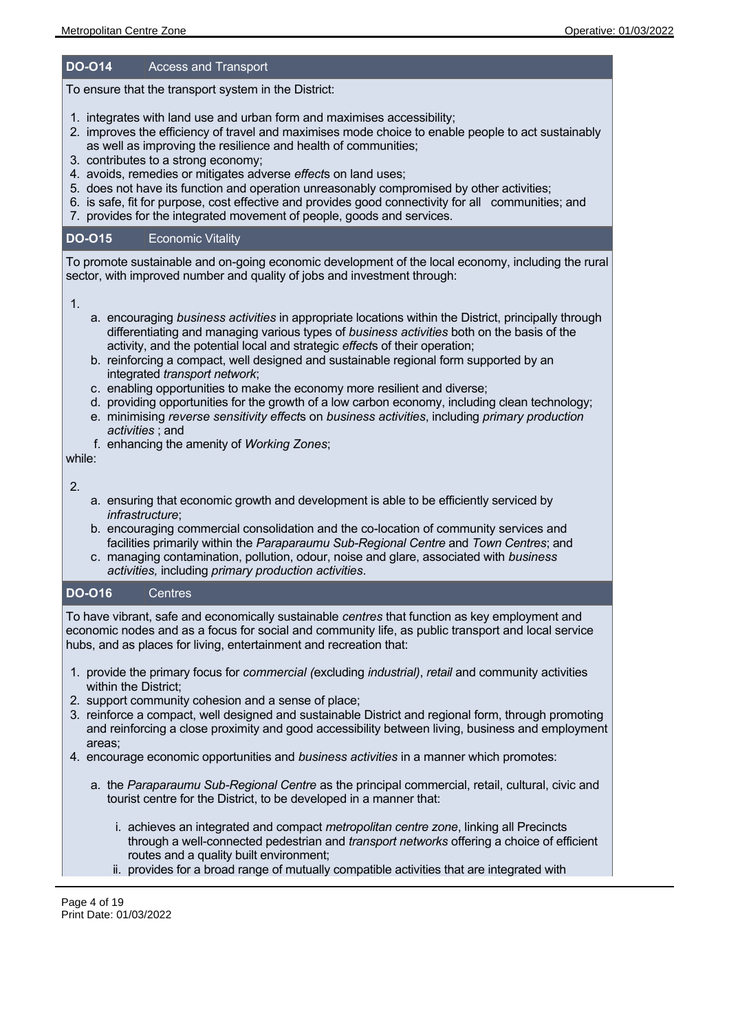# **DO-O14** Access and Transport

To ensure that the transport system in the District:

- 1. integrates with land use and urban form and maximises accessibility;
- 2. improves the efficiency of travel and maximises mode choice to enable people to act sustainably as well as improving the resilience and health of communities;
- 3. contributes to a strong economy;
- 4. avoids, remedies or mitigates adverse *effect*s on land uses;
- 5. does not have its function and operation unreasonably compromised by other activities;
- 6. is safe, fit for purpose, cost effective and provides good connectivity for all communities; and
- 7. provides for the integrated movement of people, goods and services.

### **DO-O15** Economic Vitality

To promote sustainable and on-going economic development of the local economy, including the rural sector, with improved number and quality of jobs and investment through:

1.

- a. encouraging *business activities* in appropriate locations within the District, principally through differentiating and managing various types of *business activities* both on the basis of the activity, and the potential local and strategic *effect*s of their operation;
- b. reinforcing a compact, well designed and sustainable regional form supported by an integrated *transport network*;
- c. enabling opportunities to make the economy more resilient and diverse;
- d. providing opportunities for the growth of a low carbon economy, including clean technology;
- e. minimising *reverse sensitivity effect*s on *business activities*, including *primary production activities* ; and
- f. enhancing the amenity of *Working Zones*;

while:

2.

- a. ensuring that economic growth and development is able to be efficiently serviced by *infrastructure*;
- b. encouraging commercial consolidation and the co-location of community services and facilities primarily within the *Paraparaumu Sub-Regional Centre* and *Town Centres*; and
- c. managing contamination, pollution, odour, noise and glare, associated with *business activities,* including *primary production activities*.

# **DO-O16** Centres

To have vibrant, safe and economically sustainable *centres* that function as key employment and economic nodes and as a focus for social and community life, as public transport and local service hubs, and as places for living, entertainment and recreation that:

- 1. provide the primary focus for *commercial (*excluding *industrial)*, *retail* and community activities within the District;
- 2. support community cohesion and a sense of place;

pedestrian and public transport;

- 3. reinforce a compact, well designed and sustainable District and regional form, through promoting and reinforcing a close proximity and good accessibility between living, business and employment areas;
- 4. encourage economic opportunities and *business activities* in a manner which promotes:
	- a. the *Paraparaumu Sub-Regional Centre* as the principal commercial, retail, cultural, civic and tourist centre for the District, to be developed in a manner that:
		- i. achieves an integrated and compact *metropolitan centre zone*, linking all Precincts through a well-connected pedestrian and *transport networks* offering a choice of efficient routes and a quality built environment;
		- ii. provides for a broad range of mutually compatible activities that are integrated with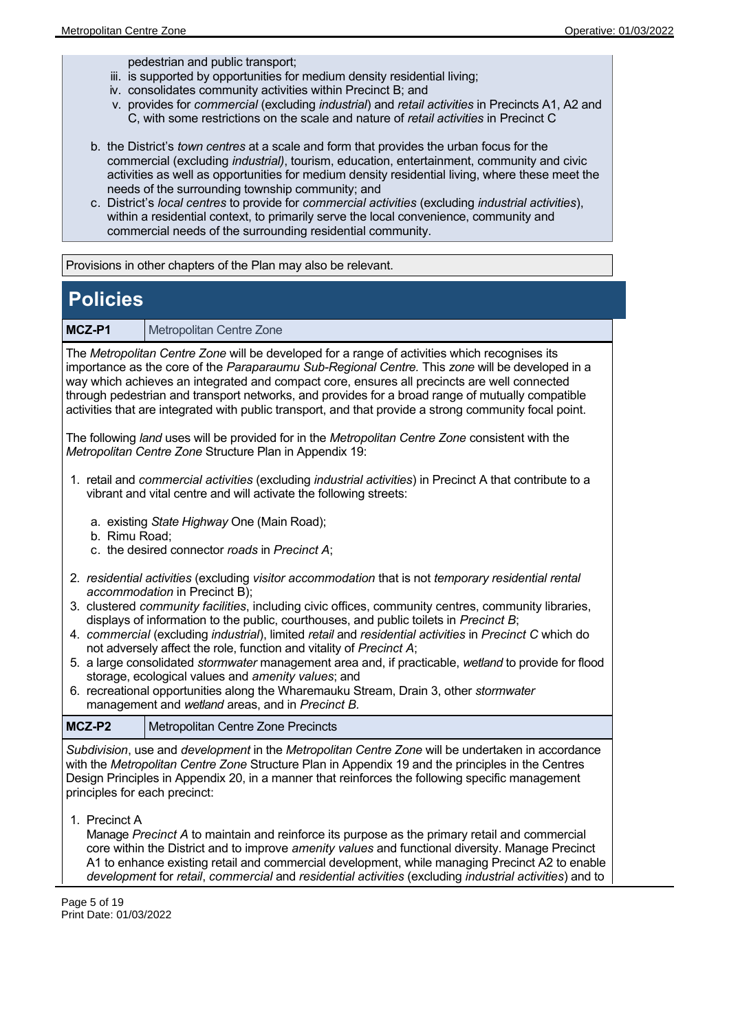pedestrian and public transport;

- iii. is supported by opportunities for medium density residential living;
- iv. consolidates community activities within Precinct B; and
- v. provides for *commercial* (excluding *industrial*) and *retail activities* in Precincts A1, A2 and C, with some restrictions on the scale and nature of *retail activities* in Precinct C
- b. the District's *town centres* at a scale and form that provides the urban focus for the commercial (excluding *industrial)*, tourism, education, entertainment, community and civic activities as well as opportunities for medium density residential living, where these meet the needs of the surrounding township community; and
- c. District's *local centres* to provide for *commercial activities* (excluding *industrial activities*), within a residential context, to primarily serve the local convenience, community and commercial needs of the surrounding residential community.

Provisions in other chapters of the Plan may also be relevant.

# **Policies**

**MCZ-P1** Metropolitan Centre Zone

The *Metropolitan Centre Zone* will be developed for a range of activities which recognises its importance as the core of the *Paraparaumu Sub-Regional Centre.* This *zone* will be developed in a way which achieves an integrated and compact core, ensures all precincts are well connected through pedestrian and transport networks, and provides for a broad range of mutually compatible activities that are integrated with public transport, and that provide a strong community focal point.

The following *land* uses will be provided for in the *Metropolitan Centre Zone* consistent with the *Metropolitan Centre Zone* Structure Plan in Appendix 19:

- 1. retail and *commercial activities* (excluding *industrial activities*) in Precinct A that contribute to a vibrant and vital centre and will activate the following streets:
	- a. existing *State Highway* One (Main Road);
	- b. Rimu Road;
	- c. the desired connector *roads* in *Precinct A*;
- 2. *residential activities* (excluding *visitor accommodation* that is not *temporary residential rental accommodation* in Precinct B);
- 3. clustered *community facilities*, including civic offices, community centres, community libraries, displays of information to the public, courthouses, and public toilets in *Precinct B*;
- 4. *commercial* (excluding *industrial*), limited *retail* and *residential activities* in *Precinct C* which do not adversely affect the role, function and vitality of *Precinct A*;
- 5. a large consolidated *stormwater* management area and, if practicable, *wetland* to provide for flood storage, ecological values and *amenity values*; and
- 6. recreational opportunities along the Wharemauku Stream, Drain 3, other *stormwater* management and *wetland* areas, and in *Precinct B.*

| MCZ-P2 | Metropolitan Centre Zone Precincts |
|--------|------------------------------------|
|--------|------------------------------------|

*Subdivision*, use and *development* in the *Metropolitan Centre Zone* will be undertaken in accordance with the *Metropolitan Centre Zone* Structure Plan in Appendix 19 and the principles in the Centres Design Principles in Appendix 20, in a manner that reinforces the following specific management principles for each precinct:

1. Precinct A

Manage *Precinct A* to maintain and reinforce its purpose as the primary retail and commercial core within the District and to improve *amenity values* and functional diversity. Manage Precinct A1 to enhance existing retail and commercial development, while managing Precinct A2 to enable *development* for *retail*, *commercial* and *residential activities* (excluding *industrial activities*) and to

Page 5 of 19 Print Date: 01/03/2022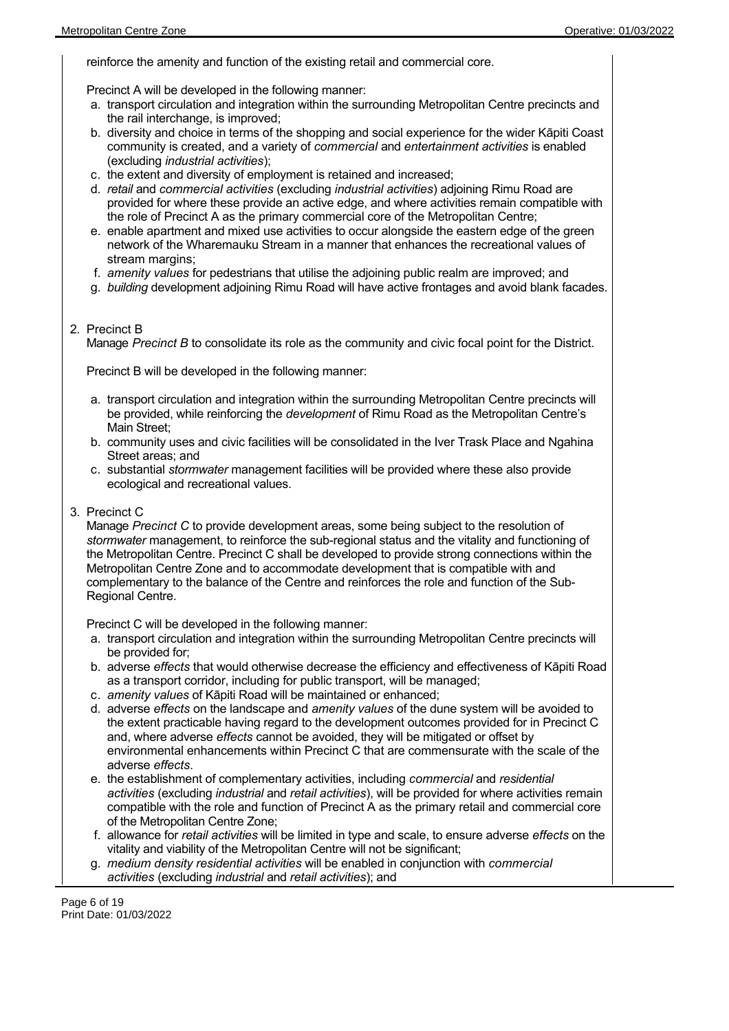reinforce the amenity and function of the existing retail and commercial core.

Precinct A will be developed in the following manner:

- a. transport circulation and integration within the surrounding Metropolitan Centre precincts and the rail interchange, is improved;
- b. diversity and choice in terms of the shopping and social experience for the wider Kāpiti Coast community is created, and a variety of *commercial* and *entertainment activities* is enabled (excluding *industrial activities*);
- c. the extent and diversity of employment is retained and increased;
- d. *retail* and *commercial activities* (excluding *industrial activities*) adjoining Rimu Road are provided for where these provide an active edge, and where activities remain compatible with the role of Precinct A as the primary commercial core of the Metropolitan Centre;
- e. enable apartment and mixed use activities to occur alongside the eastern edge of the green network of the Wharemauku Stream in a manner that enhances the recreational values of stream margins;
- f. *amenity values* for pedestrians that utilise the adjoining public realm are improved; and
- g. *building* development adjoining Rimu Road will have active frontages and avoid blank facades.
- 2. Precinct B

Manage *Precinct B* to consolidate its role as the community and civic focal point for the District.

Precinct B will be developed in the following manner:

- a. transport circulation and integration within the surrounding Metropolitan Centre precincts will be provided, while reinforcing the *development* of Rimu Road as the Metropolitan Centre's Main Street;
- b. community uses and civic facilities will be consolidated in the Iver Trask Place and Ngahina Street areas; and
- c. substantial *stormwater* management facilities will be provided where these also provide ecological and recreational values.
- 3. Precinct C

Manage *Precinct C* to provide development areas, some being subject to the resolution of *stormwater* management, to reinforce the sub-regional status and the vitality and functioning of the Metropolitan Centre. Precinct C shall be developed to provide strong connections within the Metropolitan Centre Zone and to accommodate development that is compatible with and complementary to the balance of the Centre and reinforces the role and function of the Sub-Regional Centre.

Precinct C will be developed in the following manner:

- a. transport circulation and integration within the surrounding Metropolitan Centre precincts will be provided for;
- b. adverse *effects* that would otherwise decrease the efficiency and effectiveness of Kāpiti Road as a transport corridor, including for public transport, will be managed;
- c. *amenity values* of Kāpiti Road will be maintained or enhanced;
- d. adverse *effects* on the landscape and *amenity values* of the dune system will be avoided to the extent practicable having regard to the development outcomes provided for in Precinct C and, where adverse *effects* cannot be avoided, they will be mitigated or offset by environmental enhancements within Precinct C that are commensurate with the scale of the adverse *effects*.
- e. the establishment of complementary activities, including *commercial* and *residential activities* (excluding *industrial* and *retail activities*), will be provided for where activities remain compatible with the role and function of Precinct A as the primary retail and commercial core of the Metropolitan Centre Zone;
- f. allowance for *retail activities* will be limited in type and scale, to ensure adverse *effects* on the vitality and viability of the Metropolitan Centre will not be significant;
- g. *medium density residential activities* will be enabled in conjunction with *commercial activities* (excluding *industrial* and *retail activities*); and

Page 6 of 19 Print Date: 01/03/2022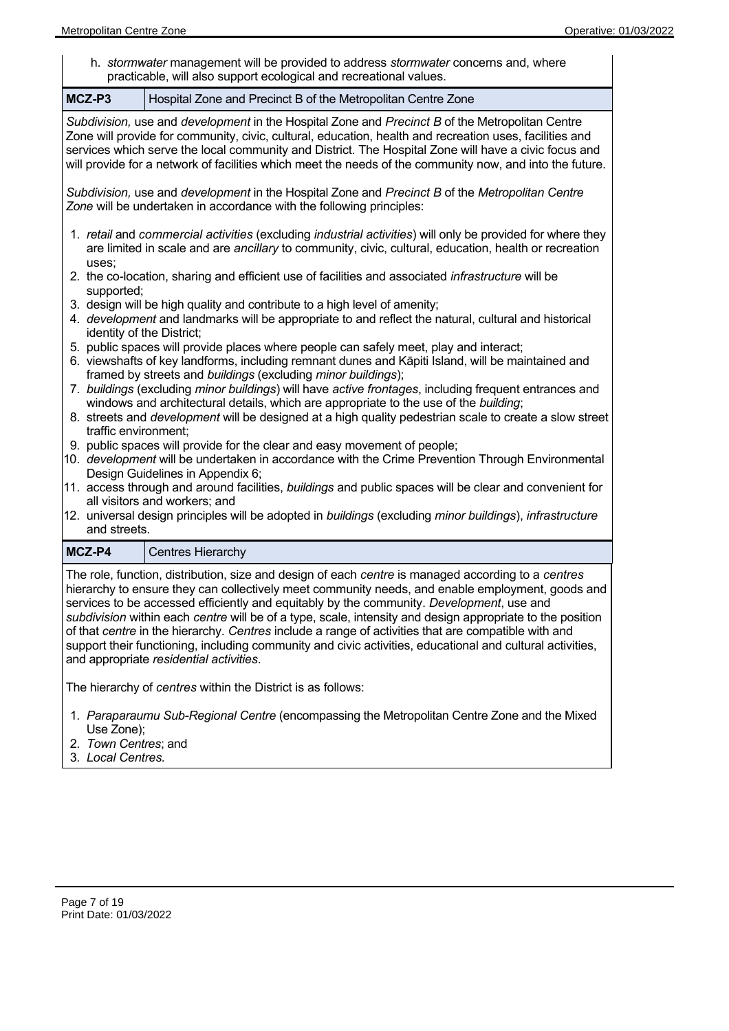h. *stormwater* management will be provided to address *stormwater* concerns and, where practicable, will also support ecological and recreational values.

**MCZ-P3** Hospital Zone and Precinct B of the Metropolitan Centre Zone *Subdivision,* use and *development* in the Hospital Zone and *Precinct B* of the Metropolitan Centre Zone will provide for community, civic, cultural, education, health and recreation uses, facilities and services which serve the local community and District. The Hospital Zone will have a civic focus and will provide for a network of facilities which meet the needs of the community now, and into the future. *Subdivision,* use and *development* in the Hospital Zone and *Precinct B* of the *Metropolitan Centre Zone* will be undertaken in accordance with the following principles: 1. *retail* and *commercial activities* (excluding *industrial activities*) will only be provided for where they are limited in scale and are *ancillary* to community, civic, cultural, education, health or recreation uses; 2. the co-location, sharing and efficient use of facilities and associated *infrastructure* will be supported; 3. design will be high quality and contribute to a high level of amenity; 4. *development* and landmarks will be appropriate to and reflect the natural, cultural and historical identity of the District; 5. public spaces will provide places where people can safely meet, play and interact; 6. viewshafts of key landforms, including remnant dunes and Kāpiti Island, will be maintained and framed by streets and *buildings* (excluding *minor buildings*); 7. *buildings* (excluding *minor buildings*) will have *active frontages*, including frequent entrances and windows and architectural details, which are appropriate to the use of the *building*; 8. streets and *development* will be designed at a high quality pedestrian scale to create a slow street traffic environment; 9. public spaces will provide for the clear and easy movement of people; 10. *development* will be undertaken in accordance with the Crime Prevention Through Environmental Design Guidelines in Appendix 6; 11. access through and around facilities, *buildings* and public spaces will be clear and convenient for all visitors and workers; and 12. universal design principles will be adopted in *buildings* (excluding *minor buildings*), *infrastructure* and streets. **MCZ-P4** Centres Hierarchy The role, function, distribution, size and design of each *centre* is managed according to a *centres* hierarchy to ensure they can collectively meet community needs, and enable employment, goods and services to be accessed efficiently and equitably by the community. *Development*, use and

*subdivision* within each *centre* will be of a type, scale, intensity and design appropriate to the position of that *centre* in the hierarchy. *Centres* include a range of activities that are compatible with and support their functioning, including community and civic activities, educational and cultural activities, and appropriate *residential activities*.

The hierarchy of *centres* within the District is as follows:

- 1. *Paraparaumu Sub-Regional Centre* (encompassing the Metropolitan Centre Zone and the Mixed Use Zone);
- 2. *Town Centres*; and
- 3. *Local Centres.*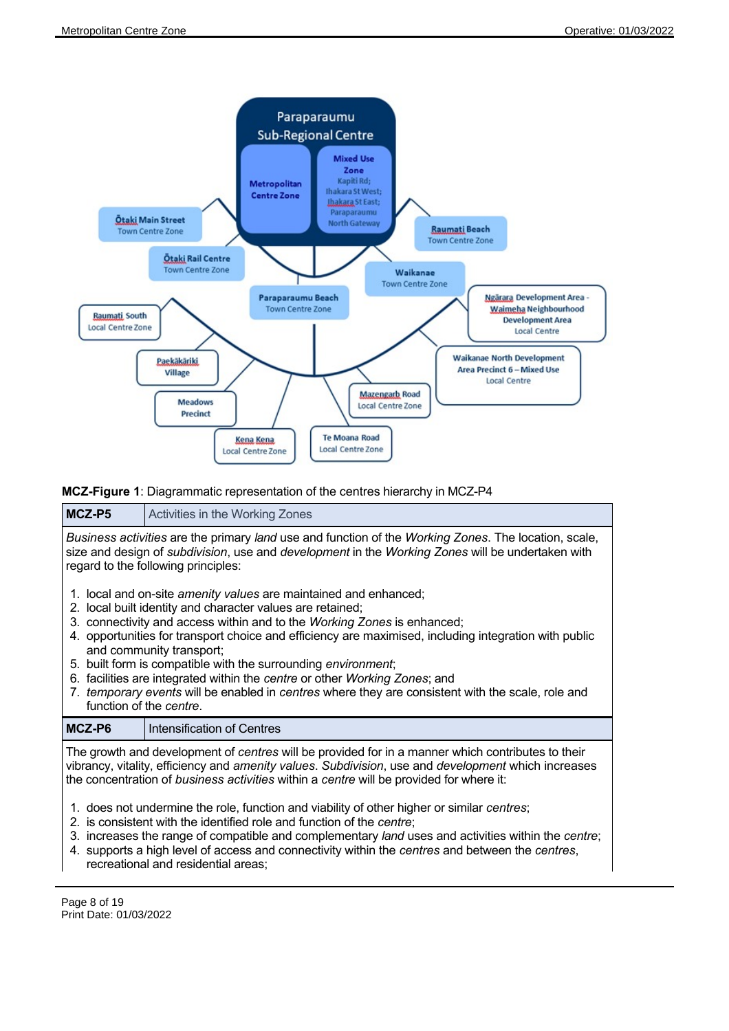

**MCZ-Figure 1**: Diagrammatic representation of the centres hierarchy in MCZ-P4

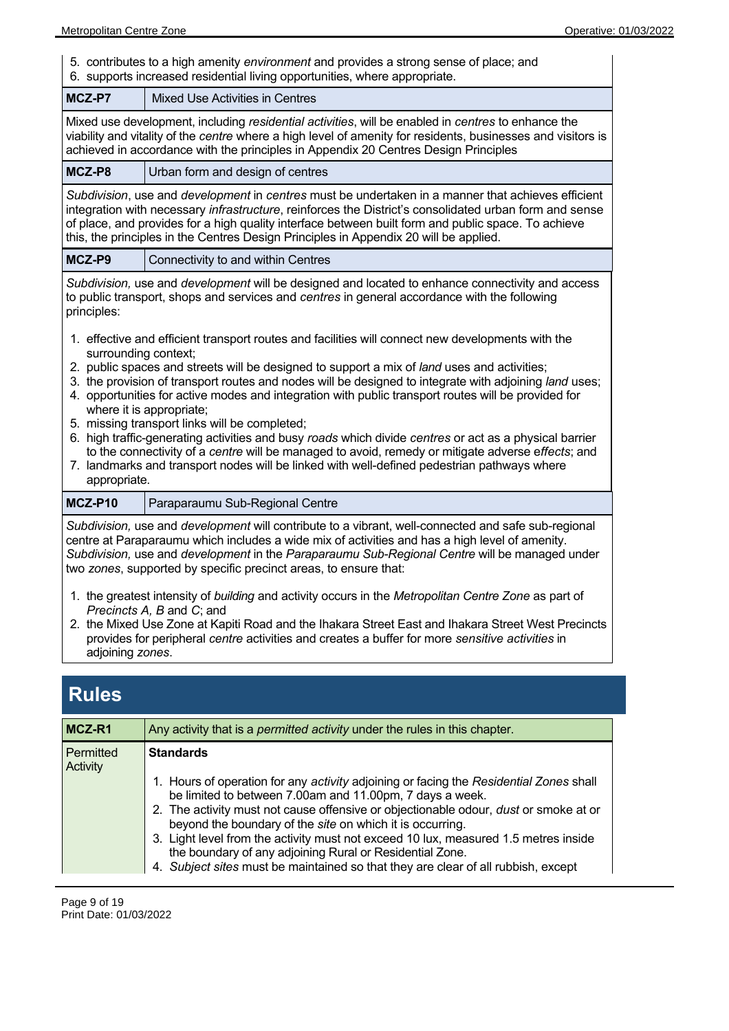5. contributes to a high amenity *environment* and provides a strong sense of place; and 6. supports increased residential living opportunities, where appropriate.

| MCZ-P7                                                                                                                                                                                                                                                                                                                                                                                                                                                                                                                                                                                                                                                                                                                                       | Mixed Use Activities in Centres                                                                                                                                                                                                                                                                                                                                                                                                                                                                                                                                                                                                                                                                                                                                                                              |  |
|----------------------------------------------------------------------------------------------------------------------------------------------------------------------------------------------------------------------------------------------------------------------------------------------------------------------------------------------------------------------------------------------------------------------------------------------------------------------------------------------------------------------------------------------------------------------------------------------------------------------------------------------------------------------------------------------------------------------------------------------|--------------------------------------------------------------------------------------------------------------------------------------------------------------------------------------------------------------------------------------------------------------------------------------------------------------------------------------------------------------------------------------------------------------------------------------------------------------------------------------------------------------------------------------------------------------------------------------------------------------------------------------------------------------------------------------------------------------------------------------------------------------------------------------------------------------|--|
| Mixed use development, including residential activities, will be enabled in centres to enhance the<br>viability and vitality of the centre where a high level of amenity for residents, businesses and visitors is<br>achieved in accordance with the principles in Appendix 20 Centres Design Principles                                                                                                                                                                                                                                                                                                                                                                                                                                    |                                                                                                                                                                                                                                                                                                                                                                                                                                                                                                                                                                                                                                                                                                                                                                                                              |  |
| MCZ-P8                                                                                                                                                                                                                                                                                                                                                                                                                                                                                                                                                                                                                                                                                                                                       | Urban form and design of centres                                                                                                                                                                                                                                                                                                                                                                                                                                                                                                                                                                                                                                                                                                                                                                             |  |
| Subdivision, use and development in centres must be undertaken in a manner that achieves efficient<br>integration with necessary <i>infrastructure</i> , reinforces the District's consolidated urban form and sense<br>of place, and provides for a high quality interface between built form and public space. To achieve<br>this, the principles in the Centres Design Principles in Appendix 20 will be applied.                                                                                                                                                                                                                                                                                                                         |                                                                                                                                                                                                                                                                                                                                                                                                                                                                                                                                                                                                                                                                                                                                                                                                              |  |
| MCZ-P9                                                                                                                                                                                                                                                                                                                                                                                                                                                                                                                                                                                                                                                                                                                                       | Connectivity to and within Centres                                                                                                                                                                                                                                                                                                                                                                                                                                                                                                                                                                                                                                                                                                                                                                           |  |
| principles:                                                                                                                                                                                                                                                                                                                                                                                                                                                                                                                                                                                                                                                                                                                                  | Subdivision, use and development will be designed and located to enhance connectivity and access<br>to public transport, shops and services and centres in general accordance with the following                                                                                                                                                                                                                                                                                                                                                                                                                                                                                                                                                                                                             |  |
| surrounding context;<br>appropriate.                                                                                                                                                                                                                                                                                                                                                                                                                                                                                                                                                                                                                                                                                                         | 1. effective and efficient transport routes and facilities will connect new developments with the<br>2. public spaces and streets will be designed to support a mix of land uses and activities;<br>3. the provision of transport routes and nodes will be designed to integrate with adjoining land uses;<br>4. opportunities for active modes and integration with public transport routes will be provided for<br>where it is appropriate;<br>5. missing transport links will be completed;<br>6. high traffic-generating activities and busy roads which divide centres or act as a physical barrier<br>to the connectivity of a centre will be managed to avoid, remedy or mitigate adverse effects; and<br>7. landmarks and transport nodes will be linked with well-defined pedestrian pathways where |  |
| MCZ-P10                                                                                                                                                                                                                                                                                                                                                                                                                                                                                                                                                                                                                                                                                                                                      | Paraparaumu Sub-Regional Centre                                                                                                                                                                                                                                                                                                                                                                                                                                                                                                                                                                                                                                                                                                                                                                              |  |
| Subdivision, use and development will contribute to a vibrant, well-connected and safe sub-regional<br>centre at Paraparaumu which includes a wide mix of activities and has a high level of amenity.<br>Subdivision, use and development in the Paraparaumu Sub-Regional Centre will be managed under<br>two zones, supported by specific precinct areas, to ensure that:<br>1. the greatest intensity of building and activity occurs in the Metropolitan Centre Zone as part of<br>Precincts A, B and C; and<br>2. the Mixed Use Zone at Kapiti Road and the Ihakara Street East and Ihakara Street West Precincts<br>provides for peripheral centre activities and creates a buffer for more sensitive activities in<br>adjoining zones. |                                                                                                                                                                                                                                                                                                                                                                                                                                                                                                                                                                                                                                                                                                                                                                                                              |  |
| <b>Rules</b>                                                                                                                                                                                                                                                                                                                                                                                                                                                                                                                                                                                                                                                                                                                                 |                                                                                                                                                                                                                                                                                                                                                                                                                                                                                                                                                                                                                                                                                                                                                                                                              |  |

| MCZ-R1                | Any activity that is a <i>permitted activity</i> under the rules in this chapter.                                                                                                                                                                                                                                                                                                                                                                                                                                                                      |  |  |
|-----------------------|--------------------------------------------------------------------------------------------------------------------------------------------------------------------------------------------------------------------------------------------------------------------------------------------------------------------------------------------------------------------------------------------------------------------------------------------------------------------------------------------------------------------------------------------------------|--|--|
| Permitted<br>Activity | <b>Standards</b>                                                                                                                                                                                                                                                                                                                                                                                                                                                                                                                                       |  |  |
|                       | 1. Hours of operation for any <i>activity</i> adjoining or facing the Residential Zones shall<br>be limited to between 7.00am and 11.00pm, 7 days a week.<br>2. The activity must not cause offensive or objectionable odour, dust or smoke at or<br>beyond the boundary of the site on which it is occurring.<br>3. Light level from the activity must not exceed 10 lux, measured 1.5 metres inside<br>the boundary of any adjoining Rural or Residential Zone.<br>4. Subject sites must be maintained so that they are clear of all rubbish, except |  |  |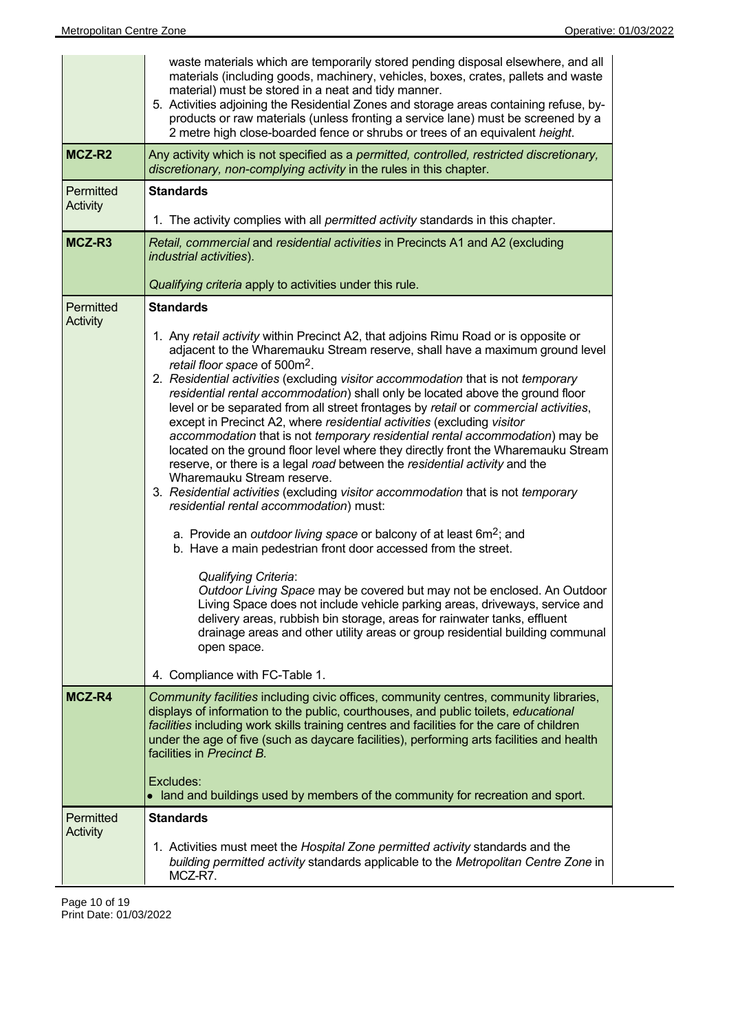|                              | waste materials which are temporarily stored pending disposal elsewhere, and all<br>materials (including goods, machinery, vehicles, boxes, crates, pallets and waste<br>material) must be stored in a neat and tidy manner.<br>5. Activities adjoining the Residential Zones and storage areas containing refuse, by-<br>products or raw materials (unless fronting a service lane) must be screened by a<br>2 metre high close-boarded fence or shrubs or trees of an equivalent height.                                                                                                                                                                                                                                                                                                                                                                                                                                                                                                                                                                                                                                                                                                                                                                                                                                                                                                                                                                                                                                                     |  |  |
|------------------------------|------------------------------------------------------------------------------------------------------------------------------------------------------------------------------------------------------------------------------------------------------------------------------------------------------------------------------------------------------------------------------------------------------------------------------------------------------------------------------------------------------------------------------------------------------------------------------------------------------------------------------------------------------------------------------------------------------------------------------------------------------------------------------------------------------------------------------------------------------------------------------------------------------------------------------------------------------------------------------------------------------------------------------------------------------------------------------------------------------------------------------------------------------------------------------------------------------------------------------------------------------------------------------------------------------------------------------------------------------------------------------------------------------------------------------------------------------------------------------------------------------------------------------------------------|--|--|
| MCZ-R2                       | Any activity which is not specified as a permitted, controlled, restricted discretionary,<br>discretionary, non-complying activity in the rules in this chapter.                                                                                                                                                                                                                                                                                                                                                                                                                                                                                                                                                                                                                                                                                                                                                                                                                                                                                                                                                                                                                                                                                                                                                                                                                                                                                                                                                                               |  |  |
| Permitted<br><b>Activity</b> | <b>Standards</b>                                                                                                                                                                                                                                                                                                                                                                                                                                                                                                                                                                                                                                                                                                                                                                                                                                                                                                                                                                                                                                                                                                                                                                                                                                                                                                                                                                                                                                                                                                                               |  |  |
|                              | 1. The activity complies with all <i>permitted activity</i> standards in this chapter.                                                                                                                                                                                                                                                                                                                                                                                                                                                                                                                                                                                                                                                                                                                                                                                                                                                                                                                                                                                                                                                                                                                                                                                                                                                                                                                                                                                                                                                         |  |  |
| MCZ-R3                       | Retail, commercial and residential activities in Precincts A1 and A2 (excluding<br>industrial activities).                                                                                                                                                                                                                                                                                                                                                                                                                                                                                                                                                                                                                                                                                                                                                                                                                                                                                                                                                                                                                                                                                                                                                                                                                                                                                                                                                                                                                                     |  |  |
|                              | Qualifying criteria apply to activities under this rule.                                                                                                                                                                                                                                                                                                                                                                                                                                                                                                                                                                                                                                                                                                                                                                                                                                                                                                                                                                                                                                                                                                                                                                                                                                                                                                                                                                                                                                                                                       |  |  |
| Permitted<br><b>Activity</b> | <b>Standards</b><br>1. Any retail activity within Precinct A2, that adjoins Rimu Road or is opposite or<br>adjacent to the Wharemauku Stream reserve, shall have a maximum ground level<br>retail floor space of 500m <sup>2</sup> .<br>2. Residential activities (excluding visitor accommodation that is not temporary<br>residential rental accommodation) shall only be located above the ground floor<br>level or be separated from all street frontages by retail or commercial activities,<br>except in Precinct A2, where residential activities (excluding visitor<br>accommodation that is not temporary residential rental accommodation) may be<br>located on the ground floor level where they directly front the Wharemauku Stream<br>reserve, or there is a legal road between the residential activity and the<br>Wharemauku Stream reserve.<br>3. Residential activities (excluding visitor accommodation that is not temporary<br>residential rental accommodation) must:<br>a. Provide an <i>outdoor living space</i> or balcony of at least $6m^2$ ; and<br>b. Have a main pedestrian front door accessed from the street.<br>Qualifying Criteria:<br>Outdoor Living Space may be covered but may not be enclosed. An Outdoor<br>Living Space does not include vehicle parking areas, driveways, service and<br>delivery areas, rubbish bin storage, areas for rainwater tanks, effluent<br>drainage areas and other utility areas or group residential building communal<br>open space.<br>4. Compliance with FC-Table 1. |  |  |
| MCZ-R4                       | Community facilities including civic offices, community centres, community libraries,<br>displays of information to the public, courthouses, and public toilets, educational<br>facilities including work skills training centres and facilities for the care of children<br>under the age of five (such as daycare facilities), performing arts facilities and health<br>facilities in Precinct B.<br>Excludes:<br>• land and buildings used by members of the community for recreation and sport.                                                                                                                                                                                                                                                                                                                                                                                                                                                                                                                                                                                                                                                                                                                                                                                                                                                                                                                                                                                                                                            |  |  |
| Permitted                    | <b>Standards</b>                                                                                                                                                                                                                                                                                                                                                                                                                                                                                                                                                                                                                                                                                                                                                                                                                                                                                                                                                                                                                                                                                                                                                                                                                                                                                                                                                                                                                                                                                                                               |  |  |
| <b>Activity</b>              | 1. Activities must meet the Hospital Zone permitted activity standards and the<br>building permitted activity standards applicable to the Metropolitan Centre Zone in<br>MCZ-R7.                                                                                                                                                                                                                                                                                                                                                                                                                                                                                                                                                                                                                                                                                                                                                                                                                                                                                                                                                                                                                                                                                                                                                                                                                                                                                                                                                               |  |  |

Page 10 of 19 Print Date: 01/03/2022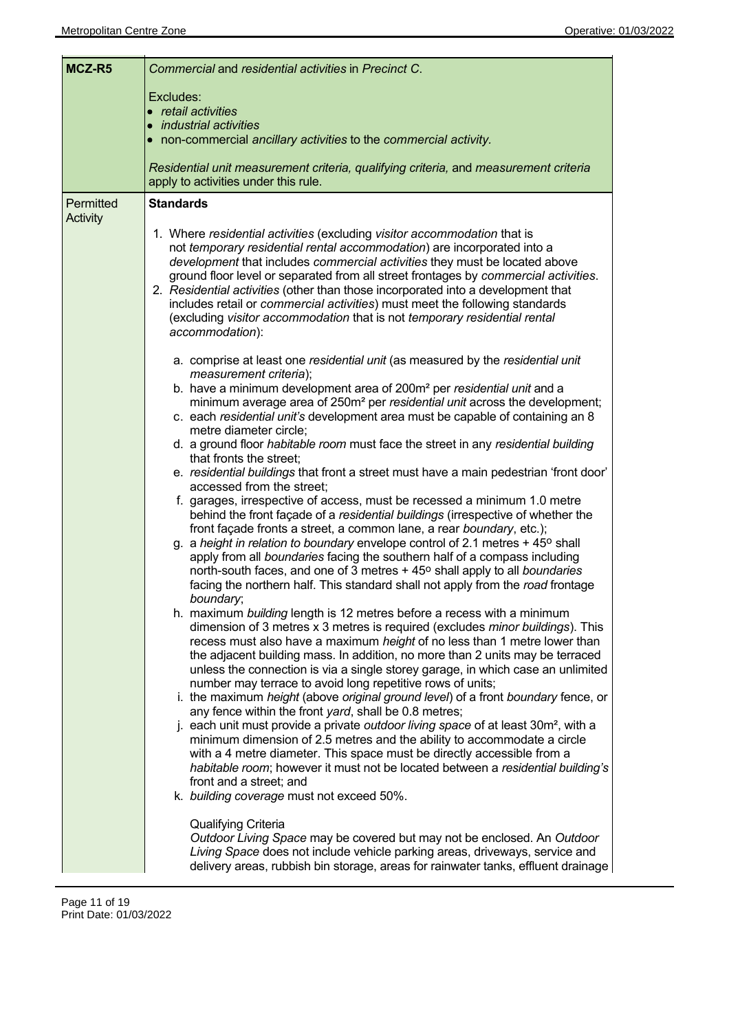| MCZ-R5                       | Commercial and residential activities in Precinct C.                                                                                                                                                                                                                                                                                                                                                                                                                           |  |
|------------------------------|--------------------------------------------------------------------------------------------------------------------------------------------------------------------------------------------------------------------------------------------------------------------------------------------------------------------------------------------------------------------------------------------------------------------------------------------------------------------------------|--|
|                              | Excludes:                                                                                                                                                                                                                                                                                                                                                                                                                                                                      |  |
|                              | • retail activities                                                                                                                                                                                                                                                                                                                                                                                                                                                            |  |
|                              | • industrial activities<br>• non-commercial ancillary activities to the commercial activity.                                                                                                                                                                                                                                                                                                                                                                                   |  |
|                              |                                                                                                                                                                                                                                                                                                                                                                                                                                                                                |  |
|                              | Residential unit measurement criteria, qualifying criteria, and measurement criteria<br>apply to activities under this rule.                                                                                                                                                                                                                                                                                                                                                   |  |
| Permitted<br><b>Activity</b> | <b>Standards</b><br>1. Where residential activities (excluding visitor accommodation that is<br>not temporary residential rental accommodation) are incorporated into a                                                                                                                                                                                                                                                                                                        |  |
|                              | development that includes commercial activities they must be located above<br>ground floor level or separated from all street frontages by commercial activities.<br>2. Residential activities (other than those incorporated into a development that<br>includes retail or commercial activities) must meet the following standards<br>(excluding visitor accommodation that is not temporary residential rental<br>accommodation):                                           |  |
|                              | a. comprise at least one residential unit (as measured by the residential unit<br>measurement criteria);                                                                                                                                                                                                                                                                                                                                                                       |  |
|                              | b. have a minimum development area of 200m <sup>2</sup> per residential unit and a<br>minimum average area of 250m <sup>2</sup> per residential unit across the development;<br>c. each residential unit's development area must be capable of containing an 8<br>metre diameter circle;                                                                                                                                                                                       |  |
|                              | d. a ground floor habitable room must face the street in any residential building<br>that fronts the street;                                                                                                                                                                                                                                                                                                                                                                   |  |
|                              | e. residential buildings that front a street must have a main pedestrian 'front door'<br>accessed from the street;                                                                                                                                                                                                                                                                                                                                                             |  |
|                              | f. garages, irrespective of access, must be recessed a minimum 1.0 metre<br>behind the front façade of a residential buildings (irrespective of whether the                                                                                                                                                                                                                                                                                                                    |  |
|                              | front façade fronts a street, a common lane, a rear boundary, etc.);<br>g. a height in relation to boundary envelope control of 2.1 metres $+45^{\circ}$ shall<br>apply from all boundaries facing the southern half of a compass including<br>north-south faces, and one of 3 metres + 45° shall apply to all boundaries<br>facing the northern half. This standard shall not apply from the road frontage<br>boundary;                                                       |  |
|                              | h. maximum building length is 12 metres before a recess with a minimum<br>dimension of 3 metres x 3 metres is required (excludes <i>minor buildings</i> ). This<br>recess must also have a maximum height of no less than 1 metre lower than<br>the adjacent building mass. In addition, no more than 2 units may be terraced<br>unless the connection is via a single storey garage, in which case an unlimited<br>number may terrace to avoid long repetitive rows of units; |  |
|                              | i. the maximum height (above original ground level) of a front boundary fence, or<br>any fence within the front yard, shall be 0.8 metres;<br>j. each unit must provide a private outdoor living space of at least 30m <sup>2</sup> , with a<br>minimum dimension of 2.5 metres and the ability to accommodate a circle                                                                                                                                                        |  |
|                              | with a 4 metre diameter. This space must be directly accessible from a<br>habitable room; however it must not be located between a residential building's<br>front and a street; and<br>k. building coverage must not exceed 50%.                                                                                                                                                                                                                                              |  |
|                              | Qualifying Criteria<br>Outdoor Living Space may be covered but may not be enclosed. An Outdoor<br>Living Space does not include vehicle parking areas, driveways, service and<br>delivery areas, rubbish bin storage, areas for rainwater tanks, effluent drainage                                                                                                                                                                                                             |  |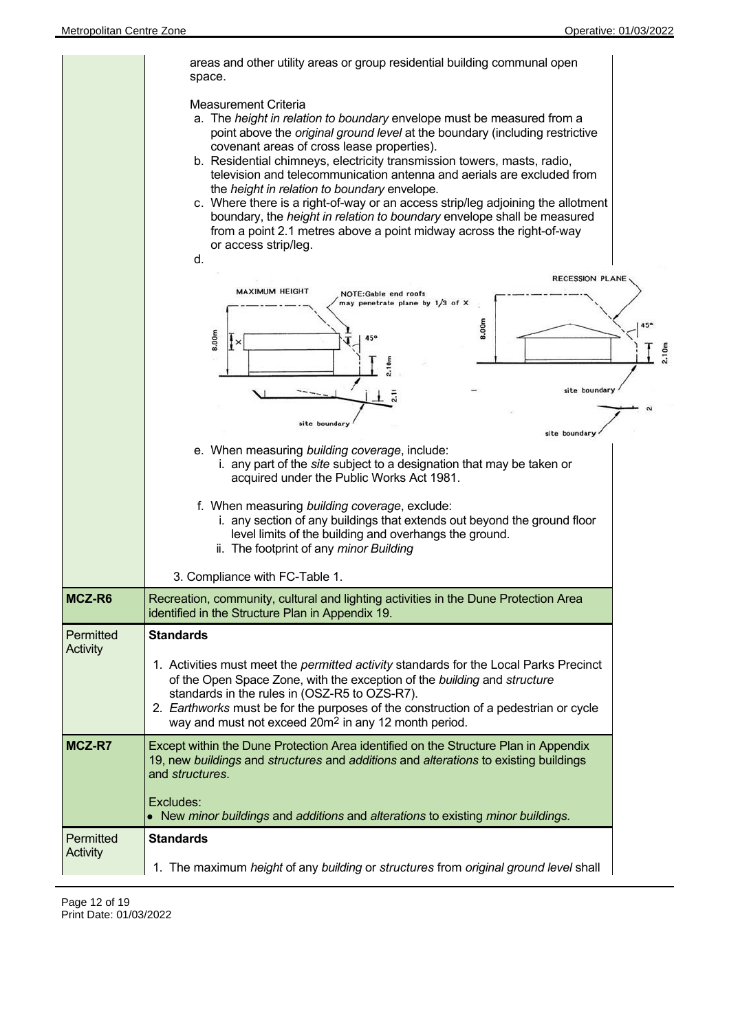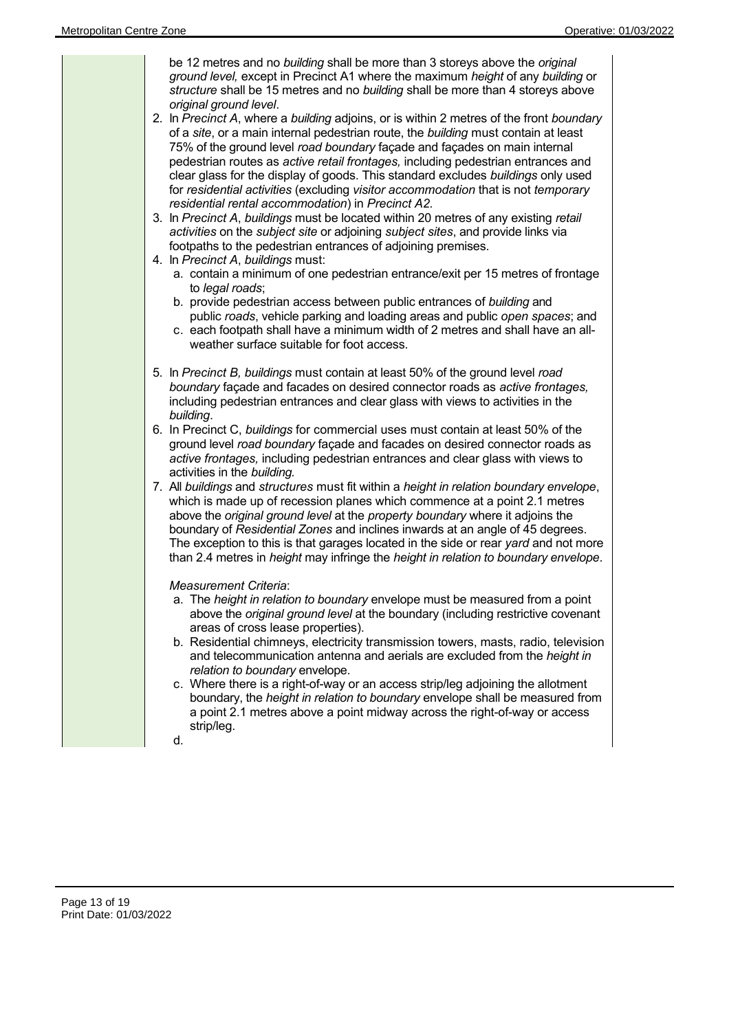| be 12 metres and no building shall be more than 3 storeys above the original<br>ground level, except in Precinct A1 where the maximum height of any building or<br>structure shall be 15 metres and no building shall be more than 4 storeys above<br>original ground level.<br>2. In Precinct A, where a building adjoins, or is within 2 metres of the front boundary<br>of a site, or a main internal pedestrian route, the building must contain at least<br>75% of the ground level road boundary façade and façades on main internal<br>pedestrian routes as active retail frontages, including pedestrian entrances and<br>clear glass for the display of goods. This standard excludes buildings only used<br>for residential activities (excluding visitor accommodation that is not temporary<br>residential rental accommodation) in Precinct A2.<br>3. In Precinct A, buildings must be located within 20 metres of any existing retail<br>activities on the subject site or adjoining subject sites, and provide links via<br>footpaths to the pedestrian entrances of adjoining premises.<br>4. In Precinct A, buildings must:<br>a. contain a minimum of one pedestrian entrance/exit per 15 metres of frontage<br>to legal roads;<br>b. provide pedestrian access between public entrances of building and<br>public roads, vehicle parking and loading areas and public open spaces; and<br>c. each footpath shall have a minimum width of 2 metres and shall have an all-<br>weather surface suitable for foot access.                                                                                                                                                                                                                                           |
|------------------------------------------------------------------------------------------------------------------------------------------------------------------------------------------------------------------------------------------------------------------------------------------------------------------------------------------------------------------------------------------------------------------------------------------------------------------------------------------------------------------------------------------------------------------------------------------------------------------------------------------------------------------------------------------------------------------------------------------------------------------------------------------------------------------------------------------------------------------------------------------------------------------------------------------------------------------------------------------------------------------------------------------------------------------------------------------------------------------------------------------------------------------------------------------------------------------------------------------------------------------------------------------------------------------------------------------------------------------------------------------------------------------------------------------------------------------------------------------------------------------------------------------------------------------------------------------------------------------------------------------------------------------------------------------------------------------------------------------------------------------------------------|
| 5. In Precinct B, buildings must contain at least 50% of the ground level road<br>boundary façade and facades on desired connector roads as active frontages,<br>including pedestrian entrances and clear glass with views to activities in the<br>building.<br>6. In Precinct C, buildings for commercial uses must contain at least 50% of the<br>ground level road boundary façade and facades on desired connector roads as<br>active frontages, including pedestrian entrances and clear glass with views to<br>activities in the building.<br>7. All buildings and structures must fit within a height in relation boundary envelope,<br>which is made up of recession planes which commence at a point 2.1 metres<br>above the original ground level at the property boundary where it adjoins the<br>boundary of Residential Zones and inclines inwards at an angle of 45 degrees.<br>The exception to this is that garages located in the side or rear yard and not more<br>than 2.4 metres in height may infringe the height in relation to boundary envelope.<br>Measurement Criteria:<br>a. The height in relation to boundary envelope must be measured from a point<br>above the original ground level at the boundary (including restrictive covenant<br>areas of cross lease properties).<br>b. Residential chimneys, electricity transmission towers, masts, radio, television<br>and telecommunication antenna and aerials are excluded from the height in<br>relation to boundary envelope.<br>c. Where there is a right-of-way or an access strip/leg adjoining the allotment<br>boundary, the height in relation to boundary envelope shall be measured from<br>a point 2.1 metres above a point midway across the right-of-way or access<br>strip/leg.<br>d. |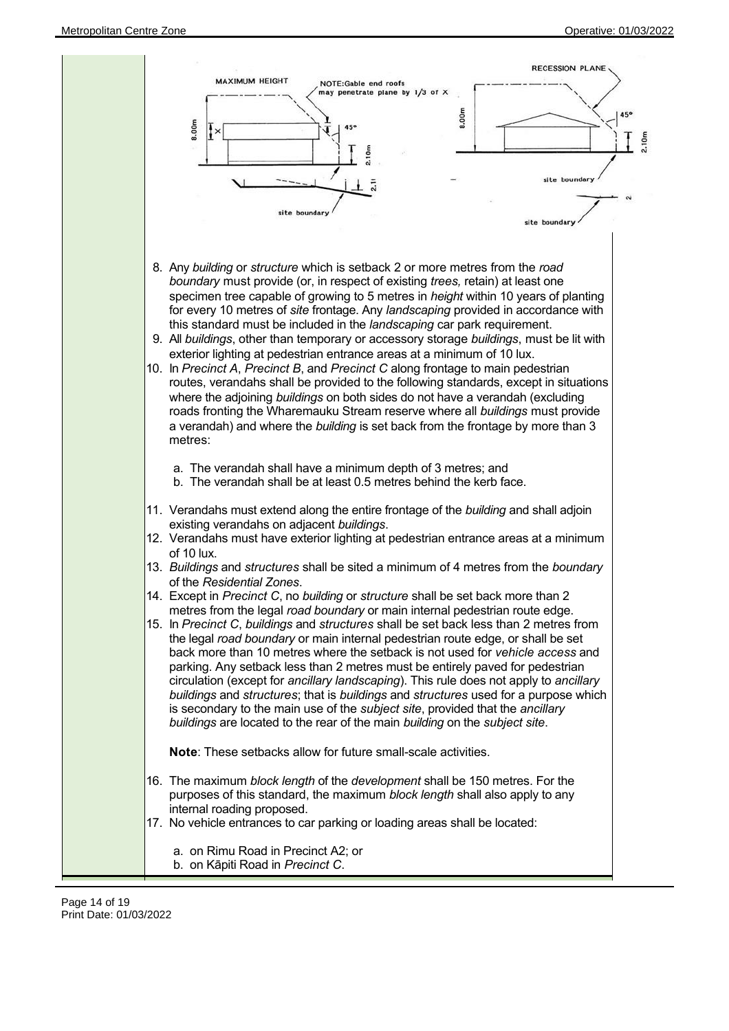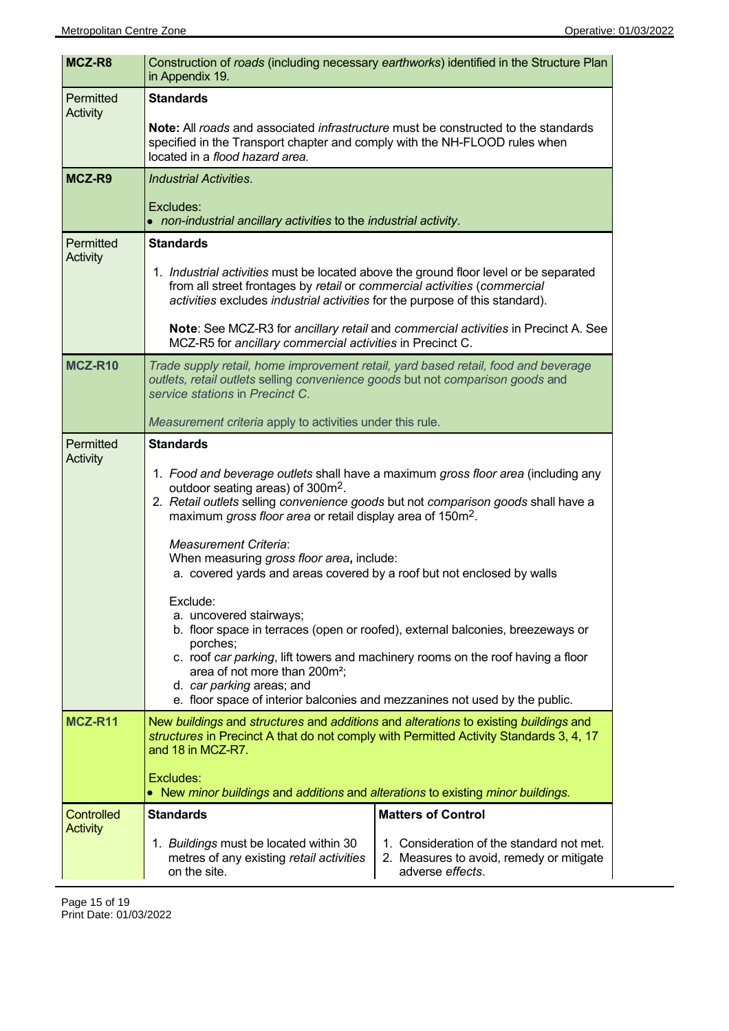| MCZ-R8                               | Construction of roads (including necessary earthworks) identified in the Structure Plan<br>in Appendix 19.                                                                                                                                                                                                                                                                                                                                               |                                                                                                           |  |
|--------------------------------------|----------------------------------------------------------------------------------------------------------------------------------------------------------------------------------------------------------------------------------------------------------------------------------------------------------------------------------------------------------------------------------------------------------------------------------------------------------|-----------------------------------------------------------------------------------------------------------|--|
| Permitted<br><b>Activity</b>         | <b>Standards</b><br><b>Note:</b> All roads and associated <i>infrastructure</i> must be constructed to the standards<br>specified in the Transport chapter and comply with the NH-FLOOD rules when<br>located in a flood hazard area.                                                                                                                                                                                                                    |                                                                                                           |  |
| MCZ-R9                               | <b>Industrial Activities.</b>                                                                                                                                                                                                                                                                                                                                                                                                                            |                                                                                                           |  |
|                                      | Excludes:<br>• non-industrial ancillary activities to the industrial activity.                                                                                                                                                                                                                                                                                                                                                                           |                                                                                                           |  |
| Permitted<br><b>Activity</b>         | <b>Standards</b>                                                                                                                                                                                                                                                                                                                                                                                                                                         |                                                                                                           |  |
|                                      | 1. Industrial activities must be located above the ground floor level or be separated<br>from all street frontages by retail or commercial activities (commercial<br>activities excludes industrial activities for the purpose of this standard).                                                                                                                                                                                                        |                                                                                                           |  |
|                                      | Note: See MCZ-R3 for ancillary retail and commercial activities in Precinct A. See<br>MCZ-R5 for ancillary commercial activities in Precinct C.                                                                                                                                                                                                                                                                                                          |                                                                                                           |  |
| <b>MCZ-R10</b>                       | Trade supply retail, home improvement retail, yard based retail, food and beverage<br>outlets, retail outlets selling convenience goods but not comparison goods and<br>service stations in Precinct C.                                                                                                                                                                                                                                                  |                                                                                                           |  |
| Permitted                            | Measurement criteria apply to activities under this rule.<br><b>Standards</b>                                                                                                                                                                                                                                                                                                                                                                            |                                                                                                           |  |
| <b>Activity</b>                      | 1. Food and beverage outlets shall have a maximum gross floor area (including any<br>outdoor seating areas) of 300m <sup>2</sup> .<br>2. Retail outlets selling convenience goods but not comparison goods shall have a<br>maximum gross floor area or retail display area of 150m <sup>2</sup> .<br><b>Measurement Criteria:</b><br>When measuring gross floor area, include:<br>a. covered yards and areas covered by a roof but not enclosed by walls |                                                                                                           |  |
|                                      | Exclude:<br>a. uncovered stairways;<br>b. floor space in terraces (open or roofed), external balconies, breezeways or<br>porches;<br>c. roof car parking, lift towers and machinery rooms on the roof having a floor<br>area of not more than 200m <sup>2</sup> ;<br>d. car parking areas; and<br>e. floor space of interior balconies and mezzanines not used by the public.                                                                            |                                                                                                           |  |
| <b>MCZ-R11</b>                       | New buildings and structures and additions and alterations to existing buildings and<br>structures in Precinct A that do not comply with Permitted Activity Standards 3, 4, 17<br>and 18 in MCZ-R7.<br>Excludes:                                                                                                                                                                                                                                         |                                                                                                           |  |
|                                      | • New minor buildings and additions and alterations to existing minor buildings.                                                                                                                                                                                                                                                                                                                                                                         |                                                                                                           |  |
| <b>Controlled</b><br><b>Activity</b> | <b>Standards</b>                                                                                                                                                                                                                                                                                                                                                                                                                                         | <b>Matters of Control</b>                                                                                 |  |
|                                      | 1. Buildings must be located within 30<br>metres of any existing retail activities<br>on the site.                                                                                                                                                                                                                                                                                                                                                       | 1. Consideration of the standard not met.<br>2. Measures to avoid, remedy or mitigate<br>adverse effects. |  |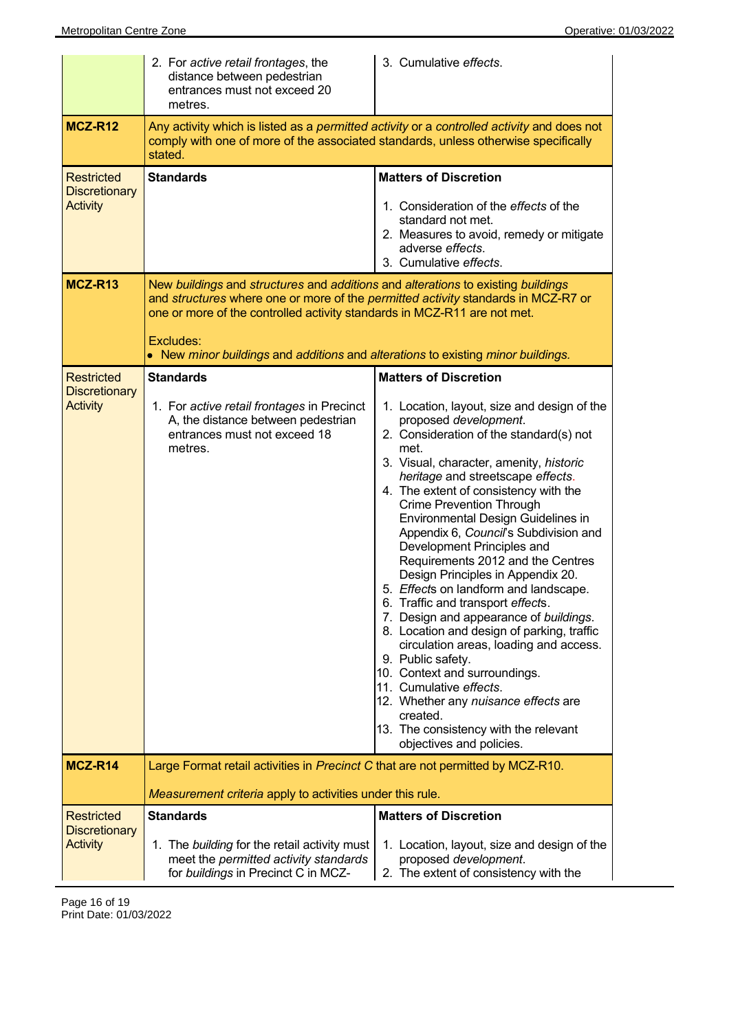|                                                              | 2. For active retail frontages, the<br>distance between pedestrian<br>entrances must not exceed 20<br>metres.                                                                                                                                                                                                                                      | 3. Cumulative effects.                                                                                                                                                                                                                                                                                                                                                                                                                                                                                                                                                                                                                                                                                                                                                                                                                                                                                                               |
|--------------------------------------------------------------|----------------------------------------------------------------------------------------------------------------------------------------------------------------------------------------------------------------------------------------------------------------------------------------------------------------------------------------------------|--------------------------------------------------------------------------------------------------------------------------------------------------------------------------------------------------------------------------------------------------------------------------------------------------------------------------------------------------------------------------------------------------------------------------------------------------------------------------------------------------------------------------------------------------------------------------------------------------------------------------------------------------------------------------------------------------------------------------------------------------------------------------------------------------------------------------------------------------------------------------------------------------------------------------------------|
| <b>MCZ-R12</b>                                               | Any activity which is listed as a permitted activity or a controlled activity and does not<br>comply with one of more of the associated standards, unless otherwise specifically<br>stated.                                                                                                                                                        |                                                                                                                                                                                                                                                                                                                                                                                                                                                                                                                                                                                                                                                                                                                                                                                                                                                                                                                                      |
| <b>Restricted</b><br><b>Discretionary</b><br><b>Activity</b> | <b>Standards</b>                                                                                                                                                                                                                                                                                                                                   | <b>Matters of Discretion</b><br>1. Consideration of the <i>effects</i> of the<br>standard not met.<br>2. Measures to avoid, remedy or mitigate<br>adverse effects.<br>3. Cumulative effects.                                                                                                                                                                                                                                                                                                                                                                                                                                                                                                                                                                                                                                                                                                                                         |
| MCZ-R13                                                      | New buildings and structures and additions and alterations to existing buildings<br>and structures where one or more of the permitted activity standards in MCZ-R7 or<br>one or more of the controlled activity standards in MCZ-R11 are not met.<br>Excludes:<br>• New minor buildings and additions and alterations to existing minor buildings. |                                                                                                                                                                                                                                                                                                                                                                                                                                                                                                                                                                                                                                                                                                                                                                                                                                                                                                                                      |
| <b>Restricted</b><br><b>Discretionary</b><br><b>Activity</b> | <b>Standards</b><br>1. For active retail frontages in Precinct<br>A, the distance between pedestrian<br>entrances must not exceed 18<br>metres.                                                                                                                                                                                                    | <b>Matters of Discretion</b><br>1. Location, layout, size and design of the<br>proposed development.<br>2. Consideration of the standard(s) not<br>met.<br>3. Visual, character, amenity, historic<br>heritage and streetscape effects.<br>4. The extent of consistency with the<br><b>Crime Prevention Through</b><br>Environmental Design Guidelines in<br>Appendix 6, Council's Subdivision and<br>Development Principles and<br>Requirements 2012 and the Centres<br>Design Principles in Appendix 20.<br>5. Effects on landform and landscape.<br>6. Traffic and transport effects.<br>7. Design and appearance of buildings.<br>8. Location and design of parking, traffic<br>circulation areas, loading and access.<br>9. Public safety.<br>10. Context and surroundings.<br>11. Cumulative effects.<br>12. Whether any nuisance effects are<br>created.<br>13. The consistency with the relevant<br>objectives and policies. |
| <b>MCZ-R14</b>                                               | Large Format retail activities in Precinct C that are not permitted by MCZ-R10.<br>Measurement criteria apply to activities under this rule.                                                                                                                                                                                                       |                                                                                                                                                                                                                                                                                                                                                                                                                                                                                                                                                                                                                                                                                                                                                                                                                                                                                                                                      |
| <b>Restricted</b>                                            | <b>Standards</b>                                                                                                                                                                                                                                                                                                                                   | <b>Matters of Discretion</b>                                                                                                                                                                                                                                                                                                                                                                                                                                                                                                                                                                                                                                                                                                                                                                                                                                                                                                         |
| <b>Discretionary</b><br><b>Activity</b>                      | 1. The building for the retail activity must<br>meet the permitted activity standards<br>for buildings in Precinct C in MCZ-                                                                                                                                                                                                                       | 1. Location, layout, size and design of the<br>proposed development.<br>2. The extent of consistency with the                                                                                                                                                                                                                                                                                                                                                                                                                                                                                                                                                                                                                                                                                                                                                                                                                        |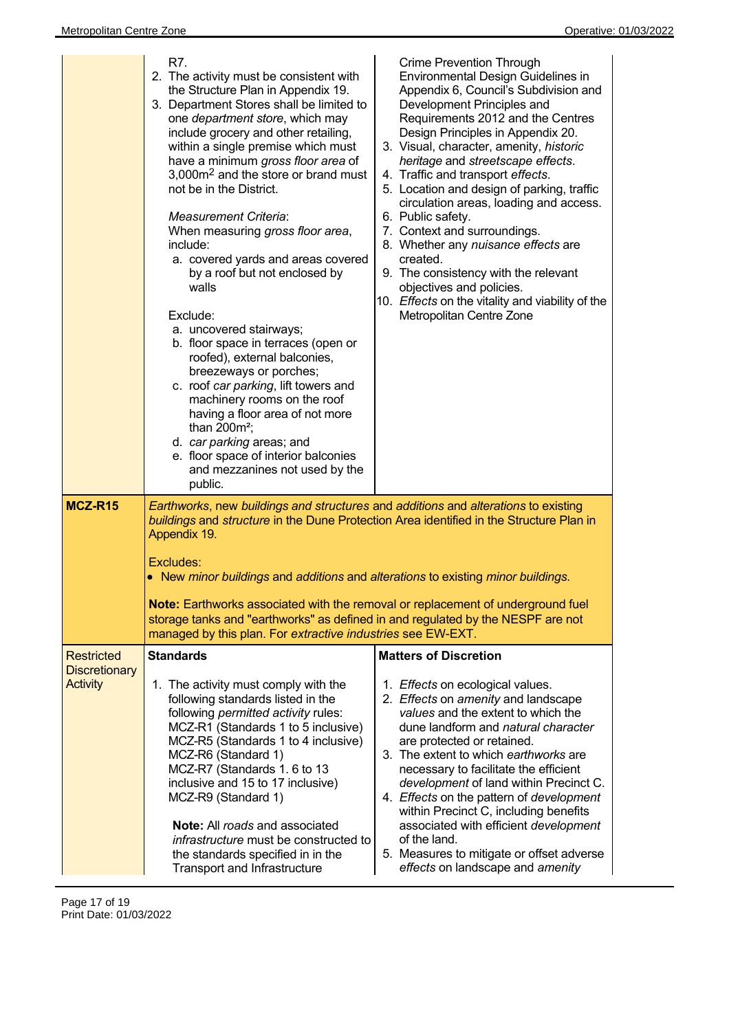|                                    | R7.<br>2. The activity must be consistent with<br>the Structure Plan in Appendix 19.<br>3. Department Stores shall be limited to<br>one department store, which may<br>include grocery and other retailing,<br>within a single premise which must<br>have a minimum gross floor area of<br>3,000m <sup>2</sup> and the store or brand must<br>not be in the District.<br><b>Measurement Criteria:</b><br>When measuring gross floor area,<br>include:<br>a. covered yards and areas covered<br>by a roof but not enclosed by<br>walls<br>Exclude:<br>a. uncovered stairways;<br>b. floor space in terraces (open or<br>roofed), external balconies,<br>breezeways or porches;<br>c. roof car parking, lift towers and<br>machinery rooms on the roof<br>having a floor area of not more<br>than $200m^2$ ;<br>d. car parking areas; and<br>e. floor space of interior balconies<br>and mezzanines not used by the<br>public. | <b>Crime Prevention Through</b><br>Environmental Design Guidelines in<br>Appendix 6, Council's Subdivision and<br>Development Principles and<br>Requirements 2012 and the Centres<br>Design Principles in Appendix 20.<br>3. Visual, character, amenity, historic<br>heritage and streetscape effects.<br>4. Traffic and transport effects.<br>5. Location and design of parking, traffic<br>circulation areas, loading and access.<br>6. Public safety.<br>7. Context and surroundings.<br>8. Whether any nuisance effects are<br>created.<br>9. The consistency with the relevant<br>objectives and policies.<br>10. Effects on the vitality and viability of the<br>Metropolitan Centre Zone |
|------------------------------------|------------------------------------------------------------------------------------------------------------------------------------------------------------------------------------------------------------------------------------------------------------------------------------------------------------------------------------------------------------------------------------------------------------------------------------------------------------------------------------------------------------------------------------------------------------------------------------------------------------------------------------------------------------------------------------------------------------------------------------------------------------------------------------------------------------------------------------------------------------------------------------------------------------------------------|-------------------------------------------------------------------------------------------------------------------------------------------------------------------------------------------------------------------------------------------------------------------------------------------------------------------------------------------------------------------------------------------------------------------------------------------------------------------------------------------------------------------------------------------------------------------------------------------------------------------------------------------------------------------------------------------------|
| MCZ-R15                            | Earthworks, new buildings and structures and additions and alterations to existing<br>buildings and structure in the Dune Protection Area identified in the Structure Plan in<br>Appendix 19.<br>Excludes:<br>• New minor buildings and additions and alterations to existing minor buildings.<br><b>Note:</b> Earthworks associated with the removal or replacement of underground fuel<br>storage tanks and "earthworks" as defined in and regulated by the NESPF are not<br>managed by this plan. For extractive industries see EW-EXT.                                                                                                                                                                                                                                                                                                                                                                                   |                                                                                                                                                                                                                                                                                                                                                                                                                                                                                                                                                                                                                                                                                                 |
| Restricted<br><b>Discretionary</b> | <b>Standards</b>                                                                                                                                                                                                                                                                                                                                                                                                                                                                                                                                                                                                                                                                                                                                                                                                                                                                                                             | <b>Matters of Discretion</b>                                                                                                                                                                                                                                                                                                                                                                                                                                                                                                                                                                                                                                                                    |
| <b>Activity</b>                    | 1. The activity must comply with the<br>following standards listed in the<br>following permitted activity rules:<br>MCZ-R1 (Standards 1 to 5 inclusive)<br>MCZ-R5 (Standards 1 to 4 inclusive)<br>MCZ-R6 (Standard 1)<br>MCZ-R7 (Standards 1.6 to 13<br>inclusive and 15 to 17 inclusive)<br>MCZ-R9 (Standard 1)<br><b>Note:</b> All roads and associated<br><i>infrastructure</i> must be constructed to<br>the standards specified in in the<br>Transport and Infrastructure                                                                                                                                                                                                                                                                                                                                                                                                                                               | 1. Effects on ecological values.<br>2. Effects on amenity and landscape<br>values and the extent to which the<br>dune landform and <i>natural character</i><br>are protected or retained.<br>3. The extent to which earthworks are<br>necessary to facilitate the efficient<br>development of land within Precinct C.<br>4. Effects on the pattern of development<br>within Precinct C, including benefits<br>associated with efficient development<br>of the land.<br>5. Measures to mitigate or offset adverse<br>effects on landscape and amenity                                                                                                                                            |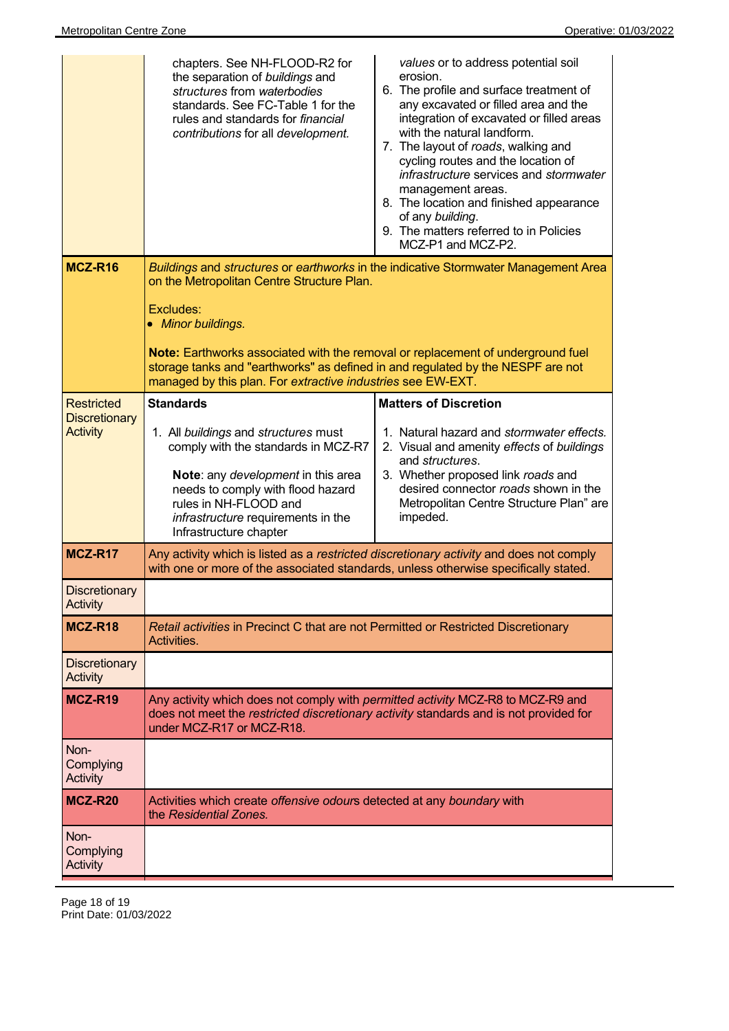|                                                              | chapters. See NH-FLOOD-R2 for<br>the separation of buildings and<br>structures from waterbodies<br>standards. See FC-Table 1 for the<br>rules and standards for <i>financial</i><br>contributions for all development.                                              | values or to address potential soil<br>erosion.<br>6. The profile and surface treatment of<br>any excavated or filled area and the<br>integration of excavated or filled areas<br>with the natural landform.<br>7. The layout of roads, walking and<br>cycling routes and the location of<br>infrastructure services and stormwater<br>management areas.<br>8. The location and finished appearance<br>of any building.<br>9. The matters referred to in Policies<br>MCZ-P1 and MCZ-P2. |
|--------------------------------------------------------------|---------------------------------------------------------------------------------------------------------------------------------------------------------------------------------------------------------------------------------------------------------------------|-----------------------------------------------------------------------------------------------------------------------------------------------------------------------------------------------------------------------------------------------------------------------------------------------------------------------------------------------------------------------------------------------------------------------------------------------------------------------------------------|
| MCZ-R16                                                      | on the Metropolitan Centre Structure Plan.<br>Excludes:<br>• Minor buildings.                                                                                                                                                                                       | Buildings and structures or earthworks in the indicative Stormwater Management Area                                                                                                                                                                                                                                                                                                                                                                                                     |
|                                                              | Note: Earthworks associated with the removal or replacement of underground fuel<br>storage tanks and "earthworks" as defined in and regulated by the NESPF are not<br>managed by this plan. For extractive industries see EW-EXT.                                   |                                                                                                                                                                                                                                                                                                                                                                                                                                                                                         |
| <b>Restricted</b><br><b>Discretionary</b><br><b>Activity</b> | <b>Standards</b><br>1. All buildings and structures must<br>comply with the standards in MCZ-R7<br>Note: any development in this area<br>needs to comply with flood hazard<br>rules in NH-FLOOD and<br>infrastructure requirements in the<br>Infrastructure chapter | <b>Matters of Discretion</b><br>1. Natural hazard and stormwater effects.<br>2. Visual and amenity effects of buildings<br>and <i>structures</i> .<br>3. Whether proposed link roads and<br>desired connector roads shown in the<br>Metropolitan Centre Structure Plan" are<br>impeded.                                                                                                                                                                                                 |
| MCZ-R17                                                      | Any activity which is listed as a restricted discretionary activity and does not comply<br>with one or more of the associated standards, unless otherwise specifically stated.                                                                                      |                                                                                                                                                                                                                                                                                                                                                                                                                                                                                         |
| <b>Discretionary</b><br>Activity                             |                                                                                                                                                                                                                                                                     |                                                                                                                                                                                                                                                                                                                                                                                                                                                                                         |
| MCZ-R18                                                      | Retail activities in Precinct C that are not Permitted or Restricted Discretionary<br>Activities.                                                                                                                                                                   |                                                                                                                                                                                                                                                                                                                                                                                                                                                                                         |
| <b>Discretionary</b><br>Activity                             |                                                                                                                                                                                                                                                                     |                                                                                                                                                                                                                                                                                                                                                                                                                                                                                         |
| MCZ-R19                                                      | Any activity which does not comply with <i>permitted activity</i> MCZ-R8 to MCZ-R9 and<br>does not meet the restricted discretionary activity standards and is not provided for<br>under MCZ-R17 or MCZ-R18.                                                        |                                                                                                                                                                                                                                                                                                                                                                                                                                                                                         |
| Non-<br>Complying<br>Activity                                |                                                                                                                                                                                                                                                                     |                                                                                                                                                                                                                                                                                                                                                                                                                                                                                         |
| <b>MCZ-R20</b>                                               | Activities which create offensive odours detected at any boundary with<br>the Residential Zones.                                                                                                                                                                    |                                                                                                                                                                                                                                                                                                                                                                                                                                                                                         |
| Non-<br>Complying<br><b>Activity</b>                         |                                                                                                                                                                                                                                                                     |                                                                                                                                                                                                                                                                                                                                                                                                                                                                                         |

Page 18 of 19 Print Date: 01/03/2022